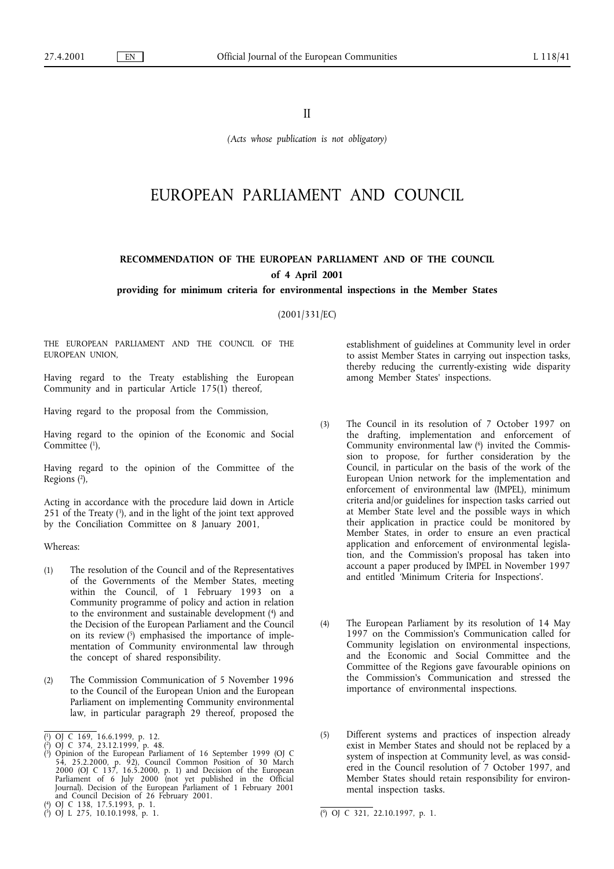II

*(Acts whose publication is not obligatory)*

# EUROPEAN PARLIAMENT AND COUNCIL

## **RECOMMENDATION OF THE EUROPEAN PARLIAMENT AND OF THE COUNCIL of 4 April 2001**

## **providing for minimum criteria for environmental inspections in the Member States**

(2001/331/EC)

THE EUROPEAN PARLIAMENT AND THE COUNCIL OF THE EUROPEAN UNION,

Having regard to the Treaty establishing the European Community and in particular Article 175(1) thereof,

Having regard to the proposal from the Commission,

Having regard to the opinion of the Economic and Social Committee (1),

Having regard to the opinion of the Committee of the Regions  $(2)$ ,

Acting in accordance with the procedure laid down in Article 251 of the Treaty (3), and in the light of the joint text approved by the Conciliation Committee on 8 January 2001,

Whereas:

- (1) The resolution of the Council and of the Representatives of the Governments of the Member States, meeting within the Council, of 1 February 1993 on a Community programme of policy and action in relation to the environment and sustainable development (4) and the Decision of the European Parliament and the Council on its review  $(5)$  emphasised the importance of implementation of Community environmental law through the concept of shared responsibility.
- (2) The Commission Communication of 5 November 1996 to the Council of the European Union and the European Parliament on implementing Community environmental law, in particular paragraph 29 thereof, proposed the

establishment of guidelines at Community level in order to assist Member States in carrying out inspection tasks, thereby reducing the currently-existing wide disparity among Member States' inspections.

- (3) The Council in its resolution of 7 October 1997 on the drafting, implementation and enforcement of Community environmental law (6) invited the Commission to propose, for further consideration by the Council, in particular on the basis of the work of the European Union network for the implementation and enforcement of environmental law (IMPEL), minimum criteria and/or guidelines for inspection tasks carried out at Member State level and the possible ways in which their application in practice could be monitored by Member States, in order to ensure an even practical application and enforcement of environmental legislation, and the Commission's proposal has taken into account a paper produced by IMPEL in November 1997 and entitled 'Minimum Criteria for Inspections'.
- (4) The European Parliament by its resolution of 14 May 1997 on the Commission's Communication called for Community legislation on environmental inspections, and the Economic and Social Committee and the Committee of the Regions gave favourable opinions on the Commission's Communication and stressed the importance of environmental inspections.
- (5) Different systems and practices of inspection already exist in Member States and should not be replaced by a system of inspection at Community level, as was considered in the Council resolution of 7 October 1997, and Member States should retain responsibility for environmental inspection tasks.

<sup>(</sup> 1) OJ C 169, 16.6.1999, p. 12.

<sup>(</sup> 2) OJ C 374, 23.12.1999, p. 48. ( 3) Opinion of the European Parliament of 16 September 1999 (OJ C 54, 25.2.2000, p. 92), Council Common Position of 30 March 2000 (OJ C 137, 16.5.2000, p. 1) and Decision of the European Parliament of 6 July 2000 (not yet published in the Official Journal). Decision of the European Parliament of 1 February 2001 and Council Decision of 26 February 2001.

<sup>(</sup> 4) OJ C 138, 17.5.1993, p. 1.

<sup>(</sup>

<sup>(6)</sup> OJ C 321, 22.10.1997, p. 1.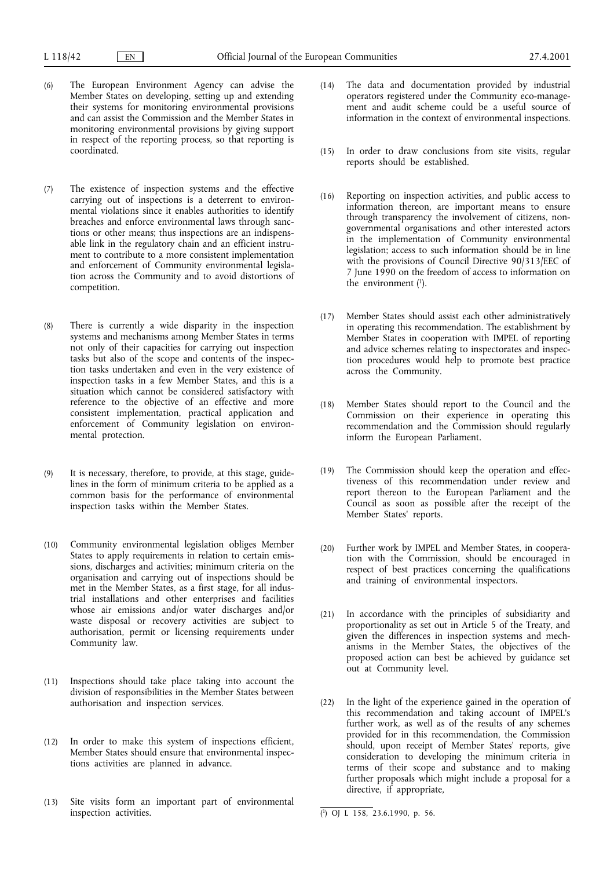- (6) The European Environment Agency can advise the Member States on developing, setting up and extending their systems for monitoring environmental provisions and can assist the Commission and the Member States in monitoring environmental provisions by giving support in respect of the reporting process, so that reporting is coordinated.
- (7) The existence of inspection systems and the effective carrying out of inspections is a deterrent to environmental violations since it enables authorities to identify breaches and enforce environmental laws through sanctions or other means; thus inspections are an indispensable link in the regulatory chain and an efficient instrument to contribute to a more consistent implementation and enforcement of Community environmental legislation across the Community and to avoid distortions of competition.
- (8) There is currently a wide disparity in the inspection systems and mechanisms among Member States in terms not only of their capacities for carrying out inspection tasks but also of the scope and contents of the inspection tasks undertaken and even in the very existence of inspection tasks in a few Member States, and this is a situation which cannot be considered satisfactory with reference to the objective of an effective and more consistent implementation, practical application and enforcement of Community legislation on environmental protection.
- (9) It is necessary, therefore, to provide, at this stage, guidelines in the form of minimum criteria to be applied as a common basis for the performance of environmental inspection tasks within the Member States.
- (10) Community environmental legislation obliges Member States to apply requirements in relation to certain emissions, discharges and activities; minimum criteria on the organisation and carrying out of inspections should be met in the Member States, as a first stage, for all industrial installations and other enterprises and facilities whose air emissions and/or water discharges and/or waste disposal or recovery activities are subject to authorisation, permit or licensing requirements under Community law.
- (11) Inspections should take place taking into account the division of responsibilities in the Member States between authorisation and inspection services.
- (12) In order to make this system of inspections efficient, Member States should ensure that environmental inspections activities are planned in advance.
- (13) Site visits form an important part of environmental inspection activities.
- (14) The data and documentation provided by industrial operators registered under the Community eco-management and audit scheme could be a useful source of information in the context of environmental inspections.
- (15) In order to draw conclusions from site visits, regular reports should be established.
- (16) Reporting on inspection activities, and public access to information thereon, are important means to ensure through transparency the involvement of citizens, nongovernmental organisations and other interested actors in the implementation of Community environmental legislation; access to such information should be in line with the provisions of Council Directive 90/313/EEC of 7 June 1990 on the freedom of access to information on the environment  $(1)$ .
- (17) Member States should assist each other administratively in operating this recommendation. The establishment by Member States in cooperation with IMPEL of reporting and advice schemes relating to inspectorates and inspection procedures would help to promote best practice across the Community.
- (18) Member States should report to the Council and the Commission on their experience in operating this recommendation and the Commission should regularly inform the European Parliament.
- (19) The Commission should keep the operation and effectiveness of this recommendation under review and report thereon to the European Parliament and the Council as soon as possible after the receipt of the Member States' reports.
- (20) Further work by IMPEL and Member States, in cooperation with the Commission, should be encouraged in respect of best practices concerning the qualifications and training of environmental inspectors.
- (21) In accordance with the principles of subsidiarity and proportionality as set out in Article 5 of the Treaty, and given the differences in inspection systems and mechanisms in the Member States, the objectives of the proposed action can best be achieved by guidance set out at Community level.
- (22) In the light of the experience gained in the operation of this recommendation and taking account of IMPEL's further work, as well as of the results of any schemes provided for in this recommendation, the Commission should, upon receipt of Member States' reports, give consideration to developing the minimum criteria in terms of their scope and substance and to making further proposals which might include a proposal for a directive, if appropriate,

<sup>(</sup> 1) OJ L 158, 23.6.1990, p. 56.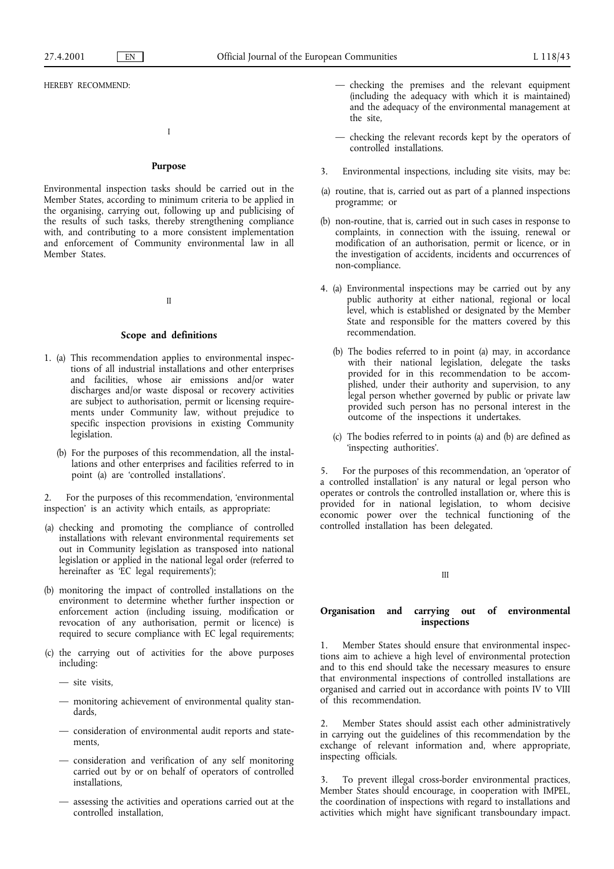HEREBY RECOMMEND:

I

## **Purpose**

Environmental inspection tasks should be carried out in the Member States, according to minimum criteria to be applied in the organising, carrying out, following up and publicising of the results of such tasks, thereby strengthening compliance with, and contributing to a more consistent implementation and enforcement of Community environmental law in all Member States.

II

## **Scope and definitions**

- 1. (a) This recommendation applies to environmental inspections of all industrial installations and other enterprises and facilities, whose air emissions and/or water discharges and/or waste disposal or recovery activities are subject to authorisation, permit or licensing requirements under Community law, without prejudice to specific inspection provisions in existing Community legislation.
	- (b) For the purposes of this recommendation, all the installations and other enterprises and facilities referred to in point (a) are 'controlled installations'.

For the purposes of this recommendation, 'environmental inspection' is an activity which entails, as appropriate:

- (a) checking and promoting the compliance of controlled installations with relevant environmental requirements set out in Community legislation as transposed into national legislation or applied in the national legal order (referred to hereinafter as 'EC legal requirements');
- (b) monitoring the impact of controlled installations on the environment to determine whether further inspection or enforcement action (including issuing, modification or revocation of any authorisation, permit or licence) is required to secure compliance with EC legal requirements;
- (c) the carrying out of activities for the above purposes including:
	- site visits,
	- monitoring achievement of environmental quality standards,
	- consideration of environmental audit reports and statements,
	- consideration and verification of any self monitoring carried out by or on behalf of operators of controlled installations,
	- assessing the activities and operations carried out at the controlled installation,
- checking the premises and the relevant equipment (including the adequacy with which it is maintained) and the adequacy of the environmental management at the site,
- checking the relevant records kept by the operators of controlled installations.
- 3. Environmental inspections, including site visits, may be:
- (a) routine, that is, carried out as part of a planned inspections programme; or
- (b) non-routine, that is, carried out in such cases in response to complaints, in connection with the issuing, renewal or modification of an authorisation, permit or licence, or in the investigation of accidents, incidents and occurrences of non-compliance.
- 4. (a) Environmental inspections may be carried out by any public authority at either national, regional or local level, which is established or designated by the Member State and responsible for the matters covered by this recommendation.
	- (b) The bodies referred to in point (a) may, in accordance with their national legislation, delegate the tasks provided for in this recommendation to be accomplished, under their authority and supervision, to any legal person whether governed by public or private law provided such person has no personal interest in the outcome of the inspections it undertakes.
	- (c) The bodies referred to in points (a) and (b) are defined as 'inspecting authorities'.

5. For the purposes of this recommendation, an 'operator of a controlled installation' is any natural or legal person who operates or controls the controlled installation or, where this is provided for in national legislation, to whom decisive economic power over the technical functioning of the controlled installation has been delegated.

III

## **Organisation and carrying out of environmental inspections**

1. Member States should ensure that environmental inspections aim to achieve a high level of environmental protection and to this end should take the necessary measures to ensure that environmental inspections of controlled installations are organised and carried out in accordance with points IV to VIII of this recommendation.

2. Member States should assist each other administratively in carrying out the guidelines of this recommendation by the exchange of relevant information and, where appropriate, inspecting officials.

3. To prevent illegal cross-border environmental practices, Member States should encourage, in cooperation with IMPEL, the coordination of inspections with regard to installations and activities which might have significant transboundary impact.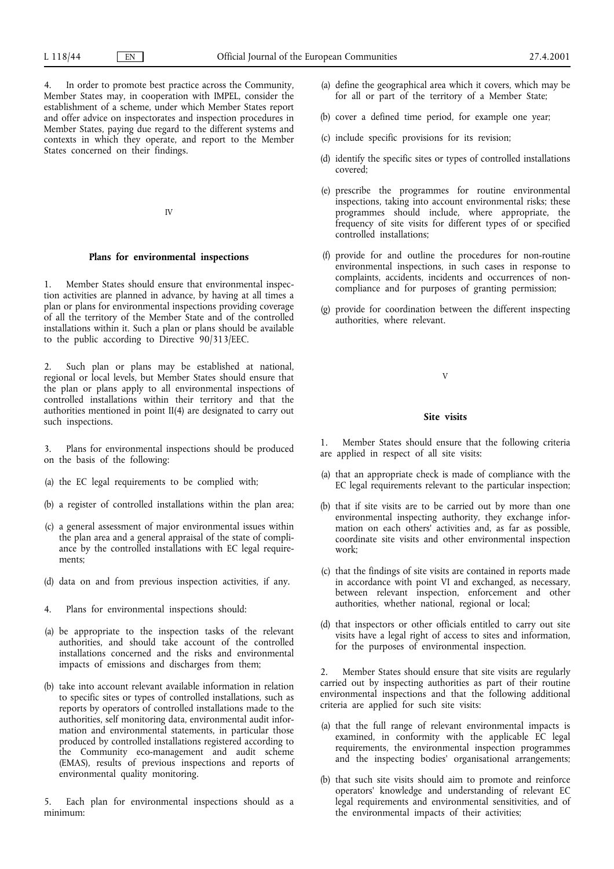In order to promote best practice across the Community, Member States may, in cooperation with IMPEL, consider the establishment of a scheme, under which Member States report and offer advice on inspectorates and inspection procedures in Member States, paying due regard to the different systems and contexts in which they operate, and report to the Member States concerned on their findings.

IV

## **Plans for environmental inspections**

1. Member States should ensure that environmental inspection activities are planned in advance, by having at all times a plan or plans for environmental inspections providing coverage of all the territory of the Member State and of the controlled installations within it. Such a plan or plans should be available to the public according to Directive 90/313/EEC.

2. Such plan or plans may be established at national, regional or local levels, but Member States should ensure that the plan or plans apply to all environmental inspections of controlled installations within their territory and that the authorities mentioned in point II(4) are designated to carry out such inspections.

3. Plans for environmental inspections should be produced on the basis of the following:

- (a) the EC legal requirements to be complied with;
- (b) a register of controlled installations within the plan area;
- (c) a general assessment of major environmental issues within the plan area and a general appraisal of the state of compliance by the controlled installations with EC legal requirements;
- (d) data on and from previous inspection activities, if any.
- 4. Plans for environmental inspections should:
- (a) be appropriate to the inspection tasks of the relevant authorities, and should take account of the controlled installations concerned and the risks and environmental impacts of emissions and discharges from them;
- (b) take into account relevant available information in relation to specific sites or types of controlled installations, such as reports by operators of controlled installations made to the authorities, self monitoring data, environmental audit information and environmental statements, in particular those produced by controlled installations registered according to the Community eco-management and audit scheme (EMAS), results of previous inspections and reports of environmental quality monitoring.

5. Each plan for environmental inspections should as a minimum:

- (a) define the geographical area which it covers, which may be for all or part of the territory of a Member State;
- (b) cover a defined time period, for example one year;
- (c) include specific provisions for its revision;
- (d) identify the specific sites or types of controlled installations covered;
- (e) prescribe the programmes for routine environmental inspections, taking into account environmental risks; these programmes should include, where appropriate, the frequency of site visits for different types of or specified controlled installations;
- (f) provide for and outline the procedures for non-routine environmental inspections, in such cases in response to complaints, accidents, incidents and occurrences of noncompliance and for purposes of granting permission;
- (g) provide for coordination between the different inspecting authorities, where relevant.

V

## **Site visits**

1. Member States should ensure that the following criteria are applied in respect of all site visits:

- (a) that an appropriate check is made of compliance with the EC legal requirements relevant to the particular inspection;
- (b) that if site visits are to be carried out by more than one environmental inspecting authority, they exchange information on each others' activities and, as far as possible, coordinate site visits and other environmental inspection work;
- (c) that the findings of site visits are contained in reports made in accordance with point VI and exchanged, as necessary, between relevant inspection, enforcement and other authorities, whether national, regional or local;
- (d) that inspectors or other officials entitled to carry out site visits have a legal right of access to sites and information, for the purposes of environmental inspection.

2. Member States should ensure that site visits are regularly carried out by inspecting authorities as part of their routine environmental inspections and that the following additional criteria are applied for such site visits:

- (a) that the full range of relevant environmental impacts is examined, in conformity with the applicable EC legal requirements, the environmental inspection programmes and the inspecting bodies' organisational arrangements;
- (b) that such site visits should aim to promote and reinforce operators' knowledge and understanding of relevant EC legal requirements and environmental sensitivities, and of the environmental impacts of their activities;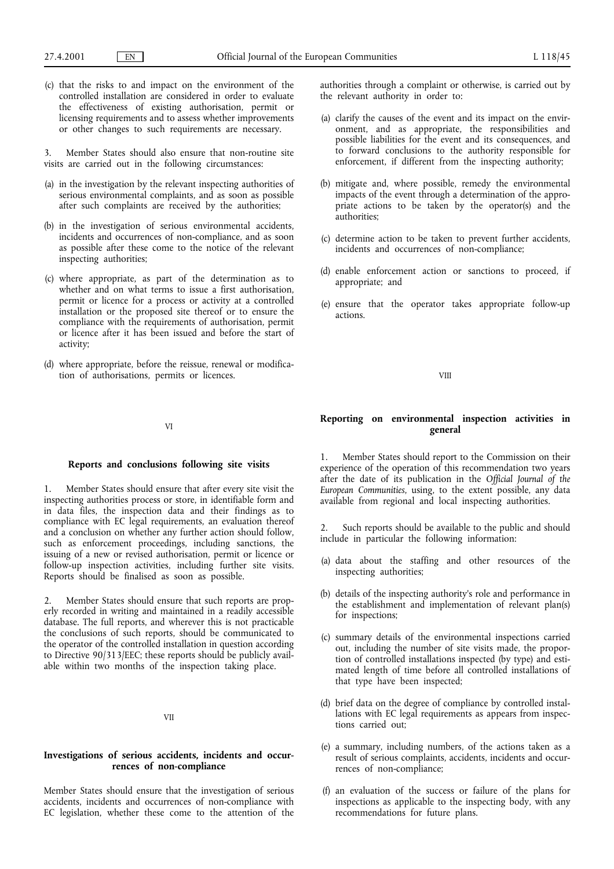(c) that the risks to and impact on the environment of the controlled installation are considered in order to evaluate the effectiveness of existing authorisation, permit or licensing requirements and to assess whether improvements or other changes to such requirements are necessary.

Member States should also ensure that non-routine site visits are carried out in the following circumstances:

- (a) in the investigation by the relevant inspecting authorities of serious environmental complaints, and as soon as possible after such complaints are received by the authorities;
- (b) in the investigation of serious environmental accidents, incidents and occurrences of non-compliance, and as soon as possible after these come to the notice of the relevant inspecting authorities;
- (c) where appropriate, as part of the determination as to whether and on what terms to issue a first authorisation, permit or licence for a process or activity at a controlled installation or the proposed site thereof or to ensure the compliance with the requirements of authorisation, permit or licence after it has been issued and before the start of activity;
- (d) where appropriate, before the reissue, renewal or modification of authorisations, permits or licences.

#### VI

## **Reports and conclusions following site visits**

1. Member States should ensure that after every site visit the inspecting authorities process or store, in identifiable form and in data files, the inspection data and their findings as to compliance with EC legal requirements, an evaluation thereof and a conclusion on whether any further action should follow, such as enforcement proceedings, including sanctions, the issuing of a new or revised authorisation, permit or licence or follow-up inspection activities, including further site visits. Reports should be finalised as soon as possible.

2. Member States should ensure that such reports are properly recorded in writing and maintained in a readily accessible database. The full reports, and wherever this is not practicable the conclusions of such reports, should be communicated to the operator of the controlled installation in question according to Directive 90/313/EEC; these reports should be publicly available within two months of the inspection taking place.

VII

## **Investigations of serious accidents, incidents and occurrences of non-compliance**

Member States should ensure that the investigation of serious accidents, incidents and occurrences of non-compliance with EC legislation, whether these come to the attention of the

authorities through a complaint or otherwise, is carried out by the relevant authority in order to:

- (a) clarify the causes of the event and its impact on the environment, and as appropriate, the responsibilities and possible liabilities for the event and its consequences, and to forward conclusions to the authority responsible for enforcement, if different from the inspecting authority;
- (b) mitigate and, where possible, remedy the environmental impacts of the event through a determination of the appropriate actions to be taken by the operator(s) and the authorities;
- (c) determine action to be taken to prevent further accidents, incidents and occurrences of non-compliance;
- (d) enable enforcement action or sanctions to proceed, if appropriate; and
- (e) ensure that the operator takes appropriate follow-up actions.

VIII

## **Reporting on environmental inspection activities in general**

1. Member States should report to the Commission on their experience of the operation of this recommendation two years after the date of its publication in the *Official Journal of the European Communities*, using, to the extent possible, any data available from regional and local inspecting authorities.

2. Such reports should be available to the public and should include in particular the following information:

- (a) data about the staffing and other resources of the inspecting authorities;
- (b) details of the inspecting authority's role and performance in the establishment and implementation of relevant plan(s) for inspections;
- (c) summary details of the environmental inspections carried out, including the number of site visits made, the proportion of controlled installations inspected (by type) and estimated length of time before all controlled installations of that type have been inspected;
- (d) brief data on the degree of compliance by controlled installations with EC legal requirements as appears from inspections carried out;
- (e) a summary, including numbers, of the actions taken as a result of serious complaints, accidents, incidents and occurrences of non-compliance;
- (f) an evaluation of the success or failure of the plans for inspections as applicable to the inspecting body, with any recommendations for future plans.